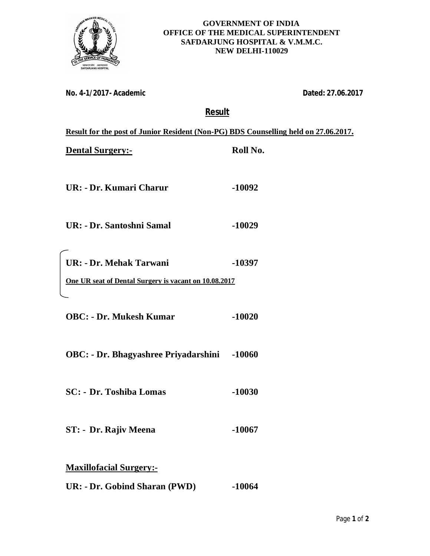

## **GOVERNMENT OF INDIA OFFICE OF THE MEDICAL SUPERINTENDENT SAFDARJUNG HOSPITAL & V.M.M.C. NEW DELHI-110029**

**No. 4-1/2017- Academic Dated: 27.06.2017**

## **Result**

| Result for the post of Junior Resident (Non-PG) BDS Counselling held on 27.06.2017. |          |  |
|-------------------------------------------------------------------------------------|----------|--|
| <b>Dental Surgery:-</b>                                                             | Roll No. |  |
|                                                                                     |          |  |
| UR: - Dr. Kumari Charur                                                             | $-10092$ |  |
|                                                                                     |          |  |
| UR: - Dr. Santoshni Samal                                                           | $-10029$ |  |
|                                                                                     |          |  |
| <b>UR: - Dr. Mehak Tarwani</b>                                                      | -10397   |  |
| One UR seat of Dental Surgery is vacant on 10.08.2017                               |          |  |
|                                                                                     |          |  |
| <b>OBC: - Dr. Mukesh Kumar</b>                                                      | $-10020$ |  |
|                                                                                     |          |  |
| <b>OBC:</b> - Dr. Bhagyashree Priyadarshini                                         | $-10060$ |  |
|                                                                                     |          |  |
| <b>SC:</b> - Dr. Toshiba Lomas                                                      | $-10030$ |  |
|                                                                                     |          |  |
| ST: - Dr. Rajiv Meena                                                               | $-10067$ |  |
|                                                                                     |          |  |
| <b>Maxillofacial Surgery:-</b>                                                      |          |  |
| UR: - Dr. Gobind Sharan (PWD)                                                       | $-10064$ |  |
|                                                                                     |          |  |